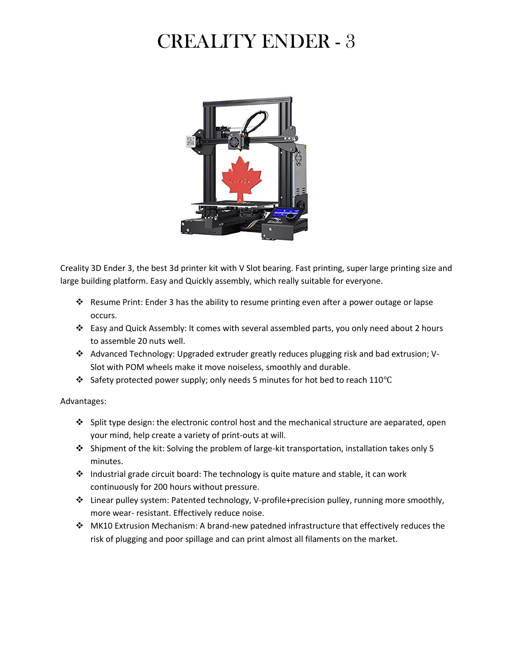## CREALITY ENDER - 3



Creality 3D Ender 3, the best 3d printer kit with V Slot bearing. Fast printing, super large printing size and large building platform. Easy and Quickly assembly, which really suitable for everyone.

- Resume Print: Ender 3 has the ability to resume printing even after a power outage or lapse occurs.
- $\div$  Easy and Quick Assembly: It comes with several assembled parts, you only need about 2 hours to assemble 20 nuts well.
- Advanced Technology: Upgraded extruder greatly reduces plugging risk and bad extrusion; V-Slot with POM wheels make it move noiseless, smoothly and durable.
- Safety protected power supply; only needs 5 minutes for hot bed to reach 110℃

## Advantages:

- $\div$  Split type design: the electronic control host and the mechanical structure are aeparated, open your mind, help create a variety of print-outs at will.
- Shipment of the kit: Solving the problem of large-kit transportation, installation takes only 5 minutes.
- \* Industrial grade circuit board: The technology is quite mature and stable, it can work continuously for 200 hours without pressure.
- Linear pulley system: Patented technology, V-profile+precision pulley, running more smoothly, more wear- resistant. Effectively reduce noise.
- MK10 Extrusion Mechanism: A brand-new patedned infrastructure that effectively reduces the risk of plugging and poor spillage and can print almost all filaments on the market.